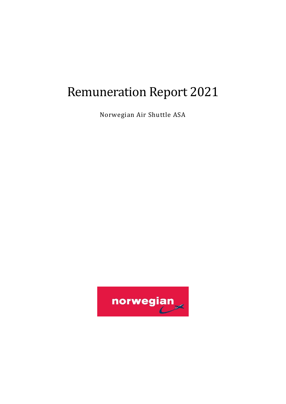# Remuneration Report 2021

Norwegian Air Shuttle ASA

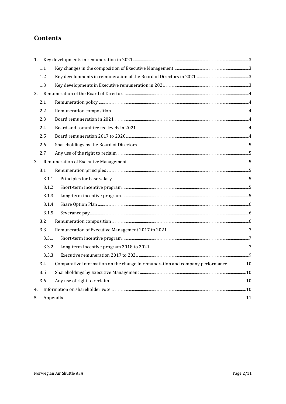# **Contents**

| 1. |       |                                                                                   |  |
|----|-------|-----------------------------------------------------------------------------------|--|
|    | 1.1   |                                                                                   |  |
|    | 1.2   |                                                                                   |  |
|    | 1.3   |                                                                                   |  |
| 2. |       |                                                                                   |  |
|    | 2.1   |                                                                                   |  |
|    | 2.2   |                                                                                   |  |
|    | 2.3   |                                                                                   |  |
|    | 2.4   |                                                                                   |  |
|    | 2.5   |                                                                                   |  |
|    | 2.6   |                                                                                   |  |
|    | 2.7   |                                                                                   |  |
| 3. |       |                                                                                   |  |
|    | 3.1   |                                                                                   |  |
|    | 3.1.1 |                                                                                   |  |
|    | 3.1.2 |                                                                                   |  |
|    | 3.1.3 |                                                                                   |  |
|    | 3.1.4 |                                                                                   |  |
|    | 3.1.5 |                                                                                   |  |
|    | 3.2   |                                                                                   |  |
|    | 3.3   |                                                                                   |  |
|    | 3.3.1 |                                                                                   |  |
|    | 3.3.2 |                                                                                   |  |
|    | 3.3.3 |                                                                                   |  |
|    | 3.4   | Comparative information on the change in remuneration and company performance  10 |  |
|    | 3.5   |                                                                                   |  |
|    | 3.6   |                                                                                   |  |
| 4. |       |                                                                                   |  |
| 5. |       |                                                                                   |  |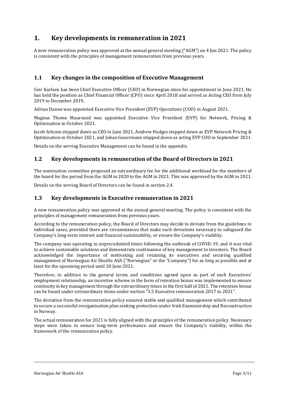## <span id="page-2-0"></span>**1. Key developments in remuneration in 2021**

A new remuneration policy was approved at the annual general meeting ("AGM") on 4 Jun 2021. The policy is consistent with the principles of management remuneration from previous years.

## <span id="page-2-1"></span>**1.1 Key changes in the composition of Executive Management**

Geir Karlsen has been Chief Executive Officer (CEO) in Norwegian since his appointment in June 2021. He has held the position as Chief Financial Officer (CFO) since April 2018 and served as Acting CEO from July 2019 to December 2019.

Adrian Dunne was appointed Executive Vice President (EVP) Operations (COO) in August 2021.

Magnus Thome Maursund was appointed Executive Vice President (EVP) for Network, Pricing & Optimisation in October 2021.

Jacob Schram stepped down as CEO in June 2021, Andrew Hodges stepped down as EVP Network Pricing & Optimisation in October 2021, and Johan Gauermann stepped down as acting EVP COO in September 2021.

Details on the serving Executive Management can be found in the appendix.

## <span id="page-2-2"></span>**1.2 Key developments in remuneration of the Board of Directors in 2021**

The nomination committee proposed an extraordinary fee for the additional workload for the members of the board for the period from the AGM in 2020 to the AGM in 2021. This was approved by the AGM in 2021.

Details on the serving Board of Directors can be found in section 2.4.

#### <span id="page-2-3"></span>**1.3 Key developments in Executive remuneration in 2021**

A new remuneration policy was approved at the annual general meeting. The policy is consistent with the principles of management remuneration from previous years.

According to the remuneration policy, the Board of Directors may decide to deviate from the guidelines in individual cases, provided there are circumstances that make such deviations necessary to safeguard the Company's long-term interest and financial sustainability, or ensure the Company's viability.

The company was operating in unprecedented times following the outbreak of COVID-19, and it was vital to achieve sustainable solutions and demonstrate continuance of key management to investors. The Board acknowledged the importance of motivating and retaining its executives and securing qualified management of Norwegian Air Shuttle ASA ("Norwegian" or the "Company") for as long as possible and at least for the upcoming period until 20 June 2021.

Therefore, in addition to the general terms and conditions agreed upon as part of each Executives' employment relationship, an incentive scheme in the form of retention bonus was implemented to ensure continuity in key management through the extraordinary times in the first half of 2021. The retention bonus can be found under extraordinary items under section "3.5 Executive remuneration 2017 to 2021".

The deviation from the remuneration policy ensured stable and qualified management which contributed to secure a successful reorganisation plan seeking protection under Irish Examinership and Reconstruction in Norway.

The actual remuneration for 2021 is fully aligned with the principles of the remuneration policy. Necessary steps were taken to ensure long-term performance and ensure the Company's viability, within the framework of the remuneration policy.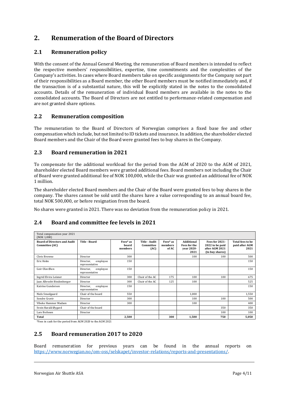# <span id="page-3-0"></span>**2. Renumeration of the Board of Directors**

## <span id="page-3-1"></span>**2.1 Remuneration policy**

With the consent of the Annual General Meeting, the remuneration of Board members is intended to reflect the respective members' responsibilities, expertise, time commitments and the complexities of the Company's activities. In cases where Board members take on specific assignments for the Company not part of their responsibilities as a Board member, the other Board members must be notified immediately and, if the transaction is of a substantial nature, this will be explicitly stated in the notes to the consolidated accounts. Details of the remuneration of individual Board members are available in the notes to the consolidated accounts. The Board of Directors are not entitled to performance-related compensation and are not granted share options.

## <span id="page-3-2"></span>**2.2 Remuneration composition**

The remuneration to the Board of Directors of Norwegian comprises a fixed base fee and other compensation which include, but not limited to ID tickets and insurance. In addition, the shareholder elected Board members and the Chair of the Board were granted fees to buy shares in the Company.

## <span id="page-3-3"></span>**2.3 Board remuneration in 2021**

To compensate for the additional workload for the period from the AGM of 2020 to the AGM of 2021, shareholder elected Board members were granted additional fees. Board members not including the Chair of Board were granted additional fee of NOK 100,000, while the Chair was granted an additional fee of NOK 1 million.

The shareholder elected Board members and the Chair of the Board were granted fees to buy shares in the company. The shares cannot be sold until the shares have a value corresponding to an annual board fee, total NOK 500,000, or before resignation from the board.

No shares were granted in 2021. There was no deviation from the remuneration policy in 2021.

## <span id="page-3-4"></span>**2.4 Board and committee fee levels in 2021**

| Total compensation year 2021<br>(NOK 1,000)           |                                         |                              |                                    |                              |                                                                |                                                                        |                                            |  |  |
|-------------------------------------------------------|-----------------------------------------|------------------------------|------------------------------------|------------------------------|----------------------------------------------------------------|------------------------------------------------------------------------|--------------------------------------------|--|--|
| <b>Board of Directors and Audit</b><br>Committee (AC) | Title - Board                           | Fees* as<br>hoard<br>members | Title - Audit<br>Committee<br>(AC) | Fees* as<br>members<br>of AC | <b>Additional</b><br><b>Fees for the</b><br>vear 2020-<br>2021 | Fees for 2021-<br>2022 to be paid<br>after AGM 2021<br>(to buy shares) | Total fees to be<br>paid after AGM<br>2021 |  |  |
| Chris Browne                                          | Director                                | 300                          |                                    |                              | 100                                                            | 100                                                                    | 500                                        |  |  |
| Eric Holm                                             | Director,<br>employee<br>representative | 150                          |                                    |                              |                                                                |                                                                        | 150                                        |  |  |
| Geir Olav Øien                                        | employee<br>Director,<br>representative | 150                          |                                    |                              |                                                                |                                                                        | 150                                        |  |  |
| Ingrid Elvira Leisner                                 | Director                                | 300                          | Chair of the AC                    | 175                          | 100                                                            | 100                                                                    | 675                                        |  |  |
| Jaan Albrecht Bindenberger                            | Director                                | 300                          | Chair of the AC                    | 125                          | 100                                                            |                                                                        | 525                                        |  |  |
| Katrine Gundersen                                     | employee<br>Director,<br>representative | 150                          |                                    |                              |                                                                |                                                                        | 150                                        |  |  |
| Niels Smedgaard                                       | Chair of the board                      | 550                          |                                    |                              | 1,000                                                          |                                                                        | 1,550                                      |  |  |
| Sondre Gravir                                         | Director                                | 300                          |                                    |                              | 100                                                            | 100                                                                    | 500                                        |  |  |
| Vibeke Hammer Madsen                                  | Director                                | 300                          |                                    |                              | 100                                                            |                                                                        | 400                                        |  |  |
| Svein Harald Øygard                                   | Chair of the board                      |                              |                                    |                              |                                                                | 350                                                                    | 350                                        |  |  |
| Lars Boilesen                                         | Director                                |                              |                                    |                              |                                                                | 100                                                                    | 100                                        |  |  |
| Total                                                 |                                         | 2,500                        |                                    | 300                          | 1,500                                                          | 750                                                                    | 5,050                                      |  |  |

<span id="page-3-5"></span>\*Fees in cash for the period from AGM 2020 to the AGM 2021

## **2.5 Board remuneration 2017 to 2020**

Board remuneration for previous years can be found in the annual reports on [https://www.norwegian.no/om-oss/selskapet/investor-relations/reports-and-presentations/.](https://www.norwegian.no/om-oss/selskapet/investor-relations/reports-and-presentations/)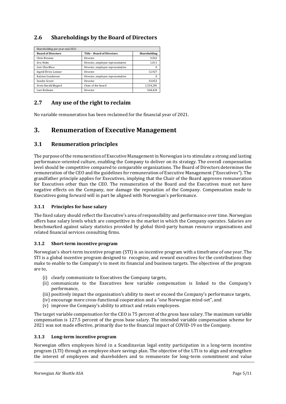## <span id="page-4-0"></span>**2.6 Shareholdings by the Board of Directors**

| Shareholding per year-end 2021 |                                   |              |  |  |  |  |  |  |
|--------------------------------|-----------------------------------|--------------|--|--|--|--|--|--|
| <b>Board of Directors</b>      | <b>Title - Board of Directors</b> | Shareholding |  |  |  |  |  |  |
| Chris Browne                   | Director                          | 9,502        |  |  |  |  |  |  |
| Eric Holm                      | Director, employee representative | 1.011        |  |  |  |  |  |  |
| Geir Olav Øien                 | Director, employee representative | o            |  |  |  |  |  |  |
| Ingrid Elvira Leisner          | Director                          | 12.927       |  |  |  |  |  |  |
| Katrine Gundersen              | Director, employee representative |              |  |  |  |  |  |  |
| Sondre Gravir                  | Director                          | 33,052       |  |  |  |  |  |  |
| Svein Harald Øygard            | Chair of the board                | 1,534,281    |  |  |  |  |  |  |
| Lars Boilesen                  | Director                          | 568,424      |  |  |  |  |  |  |

## <span id="page-4-1"></span>**2.7 Any use of the right to reclaim**

No variable remuneration has been reclaimed for the financial year of 2021.

## <span id="page-4-2"></span>**3. Renumeration of Executive Management**

## <span id="page-4-3"></span>**3.1 Renumeration principles**

The purpose of the remuneration of Executive Management in Norwegian is to stimulate a strong and lasting performance-oriented culture, enabling the Company to deliver on its strategy. The overall compensation level should be competitive compared to comparable organizations. The Board of Directors determines the remuneration of the CEO and the guidelines for remuneration of Executive Management ("Executives"). The grandfather principle applies for Executives, implying that the Chair of the Board approves remuneration for Executives other than the CEO. The remuneration of the Board and the Executives must not have negative effects on the Company, nor damage the reputation of the Company. Compensation made to Executives going forward will in part be aligned with Norwegian's performance.

#### <span id="page-4-4"></span>**3.1.1 Principles for base salary**

The fixed salary should reflect the Executive's area of responsibility and performance over time. Norwegian offers base salary levels which are competitive in the market in which the Company operates. Salaries are benchmarked against salary statistics provided by global third-party human resource organisations and related financial services consulting firms.

#### <span id="page-4-5"></span>**3.1.2 Short-term incentive program**

Norwegian's short-term incentive program (STI) is an incentive program with a timeframe of one year. The STI is a global incentive program designed to recognise, and reward executives for the contributions they make to enable to the Company's to meet its financial and business targets. The objectives of the program are to,

- (i) clearly communicate to Executives the Company targets,
- (ii) communicate to the Executives how variable compensation is linked to the Company's performance,
- (iii) positively impact the organisation's ability to meet or exceed the Company's performance targets,
- (iv) encourage more cross-functional cooperation and a "one Norwegian mind-set", and
- (v) improve the Company's ability to attract and retain employees.

The target variable compensation for the CEO is 75 percent of the gross base salary. The maximum variable compensation is 127.5 percent of the gross base salary. The intended variable compensation scheme for 2021 was not made effective, primarily due to the financial impact of COVID-19 on the Company.

#### <span id="page-4-6"></span>**3.1.3 Long-term incentive program**

Norwegian offers employees hired in a Scandinavian legal entity participation in a long-term incentive program (LTI) through an employee share savings plan. The objective of the LTI is to align and strengthen the interest of employees and shareholders and to remunerate for long-term commitment and value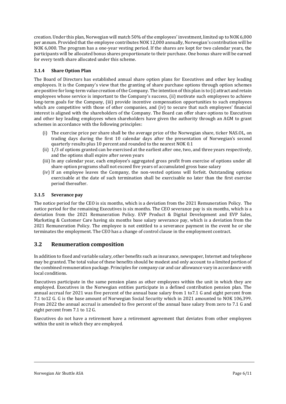creation. Under this plan, Norwegian will match 50% of the employees' investment, limited up to NOK 6,000 per annum. Provided that the employee contributes NOK 12,000 annually, Norwegian's contribution will be NOK 6,000. The program has a one-year vesting period. If the shares are kept for two calendar years, the participants will be allocated bonus shares proportionate to their purchase. One bonus share will be earned for every tenth share allocated under this scheme.

#### <span id="page-5-0"></span>**3.1.4 Share Option Plan**

The Board of Directors has established annual share option plans for Executives and other key leading employees. It is the Company's view that the granting of share purchase options through option schemes are positive for long-term value creation of the Company. The intention of this plan is to (i) attract and retain employees whose service is important to the Company's success, (ii) motivate such employees to achieve long-term goals for the Company, (iii) provide incentive compensation opportunities to such employees which are competitive with those of other companies, and (iv) to secure that such employees' financial interest is aligned with the shareholders of the Company. The Board can offer share options to Executives and other key leading employees when shareholders have given the authority through an AGM to grant schemes in accordance with the following principles:

- (i) The exercise price per share shall be the average price of the Norwegian share, ticker NAS.OL, on trading days during the first 10 calendar days after the presentation of Norwegian's second quarterly results plus 10 percent and rounded to the nearest NOK 0.1
- (ii) 1/3 of options granted can be exercised at the earliest after one, two, and three years respectively, and the options shall expire after seven years
- (iii) In any calendar year, each employee's aggregated gross profit from exercise of options under all share option programs shall not exceed five years of accumulated gross base salary
- (iv) If an employee leaves the Company, the non-vested options will forfeit. Outstanding options exercisable at the date of such termination shall be exercisable no later than the first exercise period thereafter.

#### <span id="page-5-1"></span>**3.1.5 Severance pay**

The notice period for the CEO is six months, which is a deviation from the 2021 Remuneration Policy. The notice period for the remaining Executives is six months. The CEO severance pay is six months, which is a deviation from the 2021 Remuneration Policy. EVP Product & Digital Development and EVP Sales, Marketing & Customer Care having six months base salary severance pay, which is a deviation from the 2021 Remuneration Policy. The employee is not entitled to a severance payment in the event he or she terminates the employment. The CEO has a change of control clause in the employment contract.

### <span id="page-5-2"></span>**3.2 Renumeration composition**

In addition to fixed and variable salary, other benefits such as insurance, newspaper, Internet and telephone may be granted. The total value of these benefits should be modest and only account to a limited portion of the combined remuneration package. Principles for company car and car allowance vary in accordance with local conditions.

Executives participate in the same pension plans as other employees within the unit in which they are employed. Executives in the Norwegian entities participate in a defined contribution pension plan. The annual accrual for 2021 was five percent of the annual base salary from 1 to7.1 G and eight percent from 7.1 to12 G. G is the base amount of Norwegian Social Security which in 2021 amounted to NOK 106,399. From 2022 the annual accrual is amended to five percent of the annual base salary from zero to 7.1 G and eight percent from 7.1 to 12 G.

Executives do not have a retirement have a retirement agreement that deviates from other employees within the unit in which they are employed.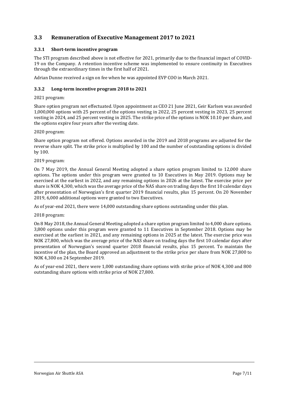## <span id="page-6-0"></span>**3.3 Remuneration of Executive Management 2017 to 2021**

#### <span id="page-6-1"></span>**3.3.1 Short-term incentive program**

The STI program described above is not effective for 2021, primarily due to the financial impact of COVID-19 on the Company. A retention incentive scheme was implemented to ensure continuity in Executives through the extraordinary times in the first half of 2021.

<span id="page-6-2"></span>Adrian Dunne received a sign on fee when he was appointed EVP COO in March 2021.

#### **3.3.2 Long-term incentive program 2018 to 2021**

#### 2021 program:

Share option program not effectuated. Upon appointment as CEO 21 June 2021, Geir Karlsen was awarded 1,000,000 options with 25 percent of the options vesting in 2022, 25 percent vesting in 2023, 25 percent vesting in 2024, and 25 percent vesting in 2025. The strike price of the options is NOK 10.10 per share, and the options expire four years after the vesting date.

#### 2020 program:

Share option program not offered. Options awarded in the 2019 and 2018 programs are adjusted for the reverse share split. The strike price is multiplied by 100 and the number of outstanding options is divided by 100.

#### 2019 program:

On 7 May 2019, the Annual General Meeting adopted a share option program limited to 12,000 share options. The options under this program were granted to 10 Executives in May 2019. Options may be exercised at the earliest in 2022, and any remaining options in 2026 at the latest. The exercise price per share is NOK 4,300, which was the average price of the NAS share on trading days the first 10 calendar days after presentation of Norwegian's first quarter 2019 financial results, plus 15 percent. On 20 November 2019, 6,000 additional options were granted to two Executives.

As of year-end 2021, there were 14,000 outstanding share options outstanding under this plan.

#### 2018 program:

On 8 May 2018, the Annual General Meeting adopted a share option program limited to 4,000 share options. 3,800 options under this program were granted to 11 Executives in September 2018. Options may be exercised at the earliest in 2021, and any remaining options in 2025 at the latest. The exercise price was NOK 27,800, which was the average price of the NAS share on trading days the first 10 calendar days after presentation of Norwegian's second quarter 2018 financial results, plus 15 percent. To maintain the incentive of the plan, the Board approved an adjustment to the strike price per share from NOK 27,800 to NOK 4,300 on 24 September 2019.

As of year-end 2021, there were 1,000 outstanding share options with strike price of NOK 4,300 and 800 outstanding share options with strike price of NOK 27,800.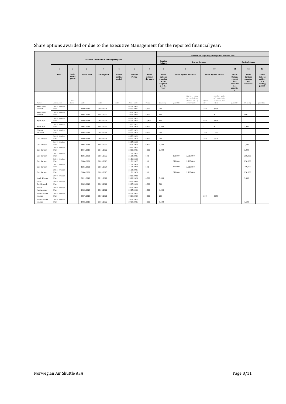|                          |                                           |                           |                         |                     |                             |                                        | Information regarding the reported financial year |                                                                       |          |                                                             |              |                                                         |                                                                                          |                                                       |                                                                 |
|--------------------------|-------------------------------------------|---------------------------|-------------------------|---------------------|-----------------------------|----------------------------------------|---------------------------------------------------|-----------------------------------------------------------------------|----------|-------------------------------------------------------------|--------------|---------------------------------------------------------|------------------------------------------------------------------------------------------|-------------------------------------------------------|-----------------------------------------------------------------|
|                          | The main conditions of share option plans |                           |                         |                     |                             |                                        | Opening<br>Balance                                | During the year                                                       |          |                                                             |              | <b>Closing balance</b>                                  |                                                                                          |                                                       |                                                                 |
|                          | $\mathbf{1}$                              | $\overline{2}$            | $\overline{\mathbf{3}}$ | $\overline{4}$      | 5                           | 6                                      | $\overline{7}$                                    | 8                                                                     |          | 9                                                           |              | 10                                                      | 11                                                                                       | 12                                                    | 13                                                              |
|                          | Plan                                      | Perfor<br>mance<br>period | Award date              | <b>Vesting date</b> | End of<br>holding<br>period | Exercise<br>Period                     | <b>Strike</b><br>price of<br>the share            | Share<br>options<br>awarded<br>at the<br>beginnin<br>g of the<br>year |          | Share options awarded                                       |              | Share options vested                                    | Share<br><b>Options</b><br>subject<br>to a<br>performa<br>nce<br>conditio<br>$\mathbf n$ | Share<br><b>Options</b><br>awarded<br>and<br>unvested | Share<br><b>Options</b><br>subject<br>to a<br>holding<br>period |
| Name                     | Plan name                                 | Date<br>Date              | Date                    | Date                | Date                        | Date - Date                            | Value                                             | Quantity                                                              | Quantity | Market value<br>of underlying<br>shares as of<br>award date | Quant<br>ity | Market value<br>of underlying<br>shares at NOK<br>10,75 | Quantity                                                                                 | Quantity                                              | Quantity                                                        |
| Anne-Sissel<br>Skånvik   | 2018 Option<br>Plan                       |                           | 03.09.2018              | 03.09.2021          |                             | 03.09.2021<br>03.09.2025               | 4,300                                             | 200                                                                   |          |                                                             | 200          | 2.150                                                   |                                                                                          |                                                       |                                                                 |
| Anne-Sissel<br>Skånvik   | 2019 Option<br>Plan                       |                           | 29.05.2019              | 29.05.2022          |                             | 29.05.2022<br>29.05.2026               | 4,300                                             | 500                                                                   |          |                                                             | ٠            | $\bf{0}$                                                |                                                                                          | 500                                                   |                                                                 |
| Bjørn Kjos               | 2018 Option<br>Plan                       |                           | 03.09.2018              | 03.09.2021          |                             | 03.09.2021<br>03.09.2025               | 27.800                                            | 800                                                                   |          |                                                             | 800          | 8.600                                                   |                                                                                          |                                                       |                                                                 |
| Bjørn Kjos               | 2019 Option<br>Plan                       |                           | 29.05.2019              | 29.05.2022          |                             | 29.05.2022 -<br>29.05.2026             | 4,300                                             | 3,000                                                                 |          |                                                             | ٠            | $\mathbf{0}$                                            |                                                                                          | 3.000                                                 |                                                                 |
| Edward<br>Thorstad       | 2018 Option<br>Plan                       |                           | 03.09.2018              | 03.09.2021          |                             | 03.09.2021 -<br>03.09.2025             | 4,300                                             | 100                                                                   |          |                                                             | 100          | 1,075                                                   |                                                                                          |                                                       |                                                                 |
| Geir Karlsen             | 2018 Option<br>Plan                       |                           | 03.09.2018              | 03.09.2021          |                             | 03.09.2021<br>03.09.2025               | 4,300                                             | 500                                                                   |          |                                                             | 500          | 5,375                                                   |                                                                                          |                                                       |                                                                 |
| Geir Karlsen             | 2019<br>Option<br>Plan                    |                           | 29.05.2019              | 29.05.2022          |                             | 29.05.2022<br>29.05.2026               | 4,300                                             | 1,500                                                                 |          |                                                             |              |                                                         |                                                                                          | 1,500                                                 |                                                                 |
| Geir Karlsen             | 2019 Option<br>Plan                       |                           | 20.11.2019              | 20.11.2022          |                             | 20.11.2022<br>20.11.2026               | 4,300                                             | 3.000                                                                 |          |                                                             |              |                                                         |                                                                                          | 3.000                                                 |                                                                 |
| Geir Karlsen             | 2021<br>Option<br>Plan                    |                           | 21.06.2021              | 21.06.2022          |                             | 21.06.2022<br>21.06.2026               | 10.1                                              |                                                                       | 250,000  | 2,525,000                                                   |              |                                                         |                                                                                          | 250,000                                               |                                                                 |
| Geir Karlsen             | 2021<br>Option<br>Plan<br>2021            |                           | 21.06.2021              | 21.06.2023          |                             | 21.06.2023<br>21.06.2027<br>21.06.2024 | 10.1                                              |                                                                       | 250,000  | 2,525,000                                                   |              |                                                         |                                                                                          | 250,000                                               |                                                                 |
| Geir Karlsen             | Option<br>Plan<br>2021 Option             |                           | 21.06.2021              | 21.06.2024          |                             | 21.06.2028<br>21.06.2025 -             | 10.1                                              |                                                                       | 250,000  | 2,525,000                                                   |              |                                                         |                                                                                          | 250,000                                               |                                                                 |
| Geir Karlsen             | Plan                                      |                           | 21.06.2021              | 21.06.2025          |                             | 21.06.2029                             | 10.1                                              |                                                                       | 250,000  | 2,525,000                                                   |              |                                                         |                                                                                          | 250,000                                               |                                                                 |
| Jacob Schram             | 2019 Option<br>Plan                       |                           | 20.11.2019              | 20.11.2022          |                             | 20.11.2022<br>20.11.2026               | 4.300                                             | 3,000                                                                 |          |                                                             |              |                                                         |                                                                                          | 3,000                                                 |                                                                 |
| Sarah<br>Goldsbrough     | 2019 Option<br>Plan                       |                           | 29.05.2019              | 29.05.2022          |                             | 29.05.2022<br>29.05.2026               | 4,300                                             | 500                                                                   |          |                                                             |              |                                                         |                                                                                          |                                                       |                                                                 |
| Tomas<br>Hesthammer      | 2019 Option<br>Plan                       |                           | 29.05.2019              | 29.05.2022          |                             | 29.05.2022<br>29.05.2026               | 4.300                                             | 1.000                                                                 |          |                                                             |              |                                                         |                                                                                          |                                                       |                                                                 |
| Tore-Kristian<br>Jenssen | 2018 Option<br>Plan                       |                           | 03.09.2018              | 03.09.2021          |                             | 03.09.2021<br>03.09.2025               | 4,300                                             | 200                                                                   |          |                                                             | 200          | 2,150                                                   |                                                                                          |                                                       |                                                                 |
| Tore-Kristian<br>Jenssen | 2019 Option<br>Plan                       |                           | 29.05.2019              | 29.05.2022          |                             | 29.05.2022<br>29.05.2026               | 4.300                                             | 1.500                                                                 |          |                                                             |              |                                                         |                                                                                          | 1.500                                                 |                                                                 |

## Share options awarded or due to the Executive Management for the reported financial year: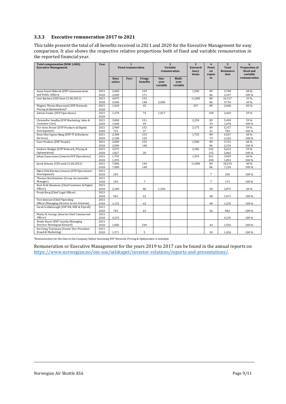#### <span id="page-8-0"></span>**3.3.3 Executive remuneration 2017 to 2021**

This table present the total of all benefits received in 2021 and 2020 for the Executive Management for easy comparison. It also shows the respective relative proportions both of fixed and variable remuneration in the reported financial year.

| <b>Total compensation (NOK 1,000)</b><br><b>Executive Management</b>        | Year         |                       | $\mathbf{1}$<br><b>Fixed remuneration</b> |                    | $\overline{2}$<br>Variable<br>remuneration |                            | 3<br><b>Extraord</b><br>inary<br>items | $\overline{\mathbf{4}}$<br>Pensi<br>on<br>expen | $5\phantom{.0}$<br><b>Total</b><br>Remunera<br>tion | 6<br>Proportion of<br>fixed and<br>variable |
|-----------------------------------------------------------------------------|--------------|-----------------------|-------------------------------------------|--------------------|--------------------------------------------|----------------------------|----------------------------------------|-------------------------------------------------|-----------------------------------------------------|---------------------------------------------|
|                                                                             |              | <b>Base</b><br>salary | Fees                                      | Fringe<br>benefits | One-<br>year<br>variable                   | Multi-<br>vear<br>variable |                                        | se                                              |                                                     | remuneration                                |
| Anne-Sissel Skånvik (EVP Communication<br>and Public Affairs)               | 2021<br>2020 | 2,000<br>2,000        |                                           | 159<br>171         |                                            |                            | 1,500                                  | 89<br>86                                        | 3,748<br>2,257                                      | 60 %<br>100 %                               |
| Geir Karlsen (CEO from 21.06.2021)                                          | 2021         | 4,875                 |                                           | 153                |                                            |                            | 11,000                                 | 89                                              | 16,117                                              | 32 %                                        |
|                                                                             | 2020         | 4,500                 |                                           | 148                | 5,000                                      |                            |                                        | 86                                              | 9,734                                               | 49 %                                        |
| Magnus Thome Maursund (EVP Network,<br>Pricing & Optimisation)*             | 2021<br>2020 | 1,569                 |                                           | 45                 |                                            |                            | 337                                    | 89                                              | 2,040                                               | 83%                                         |
| Adrian Dunne (EVP Operations)                                               | 2021<br>2020 | 1,270                 |                                           | 74                 | 1,017                                      |                            |                                        | 108                                             | 2,469                                               | 59%                                         |
| Christoffer Sundby (EVP Marketing, Sales &<br>Customer Care)                | 2021<br>2020 | 3,000<br>1,000        |                                           | 151<br>49          |                                            |                            | 2,250                                  | 89<br>29                                        | 5,490<br>1,078                                      | 59%<br>100 %                                |
| Tor-Arne Fosser (EVP Products & Digital<br>Development)                     | 2021<br>2020 | 2,900<br>725          |                                           | 153<br>37          |                                            |                            | 2,175                                  | 89<br>21                                        | 5,317<br>783                                        | 59 %<br>100%                                |
| Knut Olav Irgens Høeg (EVP IT & Business<br>Services)                       | 2021<br>2020 | 2,300<br>2,108        |                                           | 153<br>139         |                                            |                            | 1,725                                  | 89<br>79                                        | 4,267<br>2,326                                      | 60 %<br>100 %                               |
| Guro Poulsen (EVP People)                                                   | 2021<br>2020 | 2,000<br>2,000        |                                           | 152<br>148         |                                            |                            | 1,500                                  | 89<br>86                                        | 3,741<br>2,234                                      | 60 %<br>100 %                               |
| Andrew Hodges (EVP Network, Pricing &<br>Optimisation)                      | 2021<br>2020 | 3,075<br>1,827        |                                           | 20                 |                                            |                            | 2,306                                  | 242<br>155                                      | 5,623<br>2,002                                      | 59 %<br>100 %                               |
| Johan Gauermann (Interim EVP Operations)                                    | 2021<br>2020 | 1,795<br>1.395        |                                           |                    |                                            |                            | 1,593                                  | 561<br>458                                      | 3,949<br>1,853                                      | 60 %<br>100 %                               |
| Jacob Schram (CEO until 21.06.2021)                                         | 2021<br>2020 | 7,000<br>7,000        |                                           | 144<br>148         |                                            |                            | 11,000                                 | 89<br>86                                        | 18,233<br>7,234                                     | 40 %<br>100 %                               |
| Bjørn Erik Barman-Jenssen (EVP Operational<br>Development)                  | 2021<br>2020 | 243                   |                                           |                    |                                            |                            |                                        | $\overline{7}$                                  | 250                                                 | 100 %                                       |
| Thomas Hesthammer (Group Accountable<br>Manager)                            | 2021<br>2020 | 159                   |                                           | 7                  |                                            |                            |                                        | $\overline{7}$                                  | 173                                                 | 100 %                                       |
| Kurt Erik Simonsen (Chief Customer & Digital<br>Officer)                    | 2021<br>2020 | 2.189                 |                                           | 86                 | 1,550                                      |                            |                                        | 50                                              | 3,875                                               | 60 %                                        |
| Frode Berg (Chief Legal Officer)                                            | 2021<br>2020 | 961                   |                                           | 62                 |                                            |                            |                                        | 48                                              | 1,071                                               | 100 %                                       |
| Tore Jenssen (Chief Operating<br>Officer/Managing Director Arctic Aviation) | 2021<br>2020 | 1,125                 |                                           | 62                 |                                            |                            |                                        | 48                                              | 1,235                                               | 100 %                                       |
| Sarah Goldsbrough (EVP HR, HSE & Payroll)                                   | 2021<br>2020 | 743                   |                                           | 63                 |                                            |                            |                                        | 36                                              | 842                                                 | 100 %                                       |
| Marty St. George (Interim Chief Commercial<br>Officer)                      | 2021<br>2020 | 4,235                 |                                           |                    |                                            |                            |                                        |                                                 | 4,235                                               | 100 %                                       |
| Brede Huser (EVP Loyalty/Managing<br>Director Norwegian Reward)             | 2021<br>2020 | 1,000                 |                                           | 549                |                                            |                            |                                        | 43                                              | 1,592                                               | 100 %                                       |
| Kei Grieg Toyomasu (Senior Vice President<br>Brand & Marketing)             | 2021<br>2020 | 1,371                 |                                           | 5                  |                                            |                            |                                        | 50                                              | 1,426                                               | 100 %                                       |

\*Remuneration for the time in the Company before becoming EVP Network, Pricing & Optimisaton is included.

Remuneration or Executive Management for the years 2019 to 2017 can be found in the annual reports on [https://www.norwegian.no/om-oss/selskapet/investor-relations/reports-and-presentations/.](https://www.norwegian.no/om-oss/selskapet/investor-relations/reports-and-presentations/)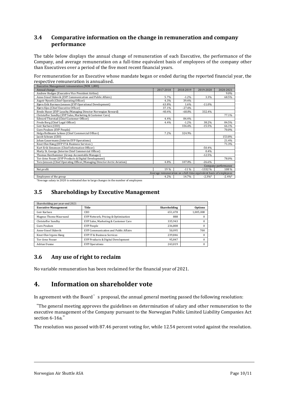## <span id="page-9-0"></span>**3.4 Comparative information on the change in remuneration and company performance**

The table below displays the annual change of remuneration of each Executive, the performance of the Company, and average remuneration on a full-time equivalent basis of employees of the company other than Executives over a period of the five most recent financial years.

For remuneration for an Executive whose mandate began or ended during the reported financial year, the respective remuneration is annualised.

| Executive Management remuneration (NOK 1,000)                            |                                                                   |           |            |                     |  |  |  |
|--------------------------------------------------------------------------|-------------------------------------------------------------------|-----------|------------|---------------------|--|--|--|
| Annual change                                                            | 2017-2018                                                         | 2018-2019 | 2019-2020  | 2020-2021           |  |  |  |
| Andrew Hodges (Executive Vice President Airline)                         |                                                                   |           |            | 9.0%                |  |  |  |
| Anne-Sissel Skånvik (EVP Communication and Public Affairs)               | 5.7%                                                              | $-1.2%$   | 3.3%       | 68.5%               |  |  |  |
| Asgeir Nyseth (Chief Operating Officer)                                  | 4.3%                                                              | 39.4%     |            |                     |  |  |  |
| Bjørn Erik Barman-Jenssen (EVP Operational Development)                  | 63.8%                                                             | 1.6%      | $-11.0%$   |                     |  |  |  |
| Bjørn Kjos (Chief Executive Officer)                                     | 37.1%                                                             | $-27.6%$  |            |                     |  |  |  |
| Brede Huser (EVP Loyalty/Managing Director Norwegian Reward)             | $-40.4%$                                                          | $-68.0%$  | 332.4%     |                     |  |  |  |
| Christoffer Sundby (EVP Sales, Marketing & Customer Care)                |                                                                   |           |            | 77.1%               |  |  |  |
| Edward Thorstad (Chief Customer Officer)                                 | 4.4%                                                              | 84.4%     |            |                     |  |  |  |
| Frode Berg (Chief Legal Officer)                                         | 4.4%                                                              | $-1.2\%$  | 38.2%      | 84.5%               |  |  |  |
| Geir Karlsen (CEO)                                                       |                                                                   | 336.6%    | $-15.5%$   | 66.1%               |  |  |  |
| Guro Poulsen (EVP People)                                                |                                                                   |           |            | 70.0%               |  |  |  |
| Helga Bollmann Leknes (Chief Commercial Officer)                         | 7.2%                                                              | 324.9%    |            |                     |  |  |  |
| Jacob Schram (CEO)                                                       |                                                                   |           |            | 153.8%              |  |  |  |
| Johan Gauermann (Interim EVP Operations)                                 |                                                                   |           |            | 21.4%               |  |  |  |
| Knut Olav Høeg (EVP IT & Business Services)                              |                                                                   |           |            | 71.3%               |  |  |  |
| Kurt Erik Simonsen (Chief Information Officer)                           |                                                                   |           | $-50.4%$   |                     |  |  |  |
| Marty St. George (Interim Chief Commercial Officer)                      |                                                                   |           | 0.4%       |                     |  |  |  |
| Thomas Hesthammer (Group Accountable Manager)                            |                                                                   |           | $-12.5%$   |                     |  |  |  |
| Tor-Arne Fosser (EVP Products & Digital Development)                     |                                                                   |           |            | 78.0%               |  |  |  |
| Tore Jenssen (Chief Operating Officer/Managing Director Arctic Aviation) | 4.8%                                                              | 107.0%    | $-26.6%$   |                     |  |  |  |
|                                                                          |                                                                   |           |            | Company performance |  |  |  |
| Net profit                                                               | 19%                                                               | $-11%$    | $-1332%$   | 108%                |  |  |  |
|                                                                          | Average remuneration on a full-time equivalent basis of employees |           |            |                     |  |  |  |
| Employees of the group                                                   | 4.2%                                                              | 14.7%     | $-2.3\%$ * | $-2.4%$             |  |  |  |

<span id="page-9-1"></span>\*Average salary in 2020 is estimated due to large changes in the number of employees

## **3.5 Shareholdings by Executive Management**

| Shareholding per year-end 2021 |                                       |              |                |  |  |  |  |  |
|--------------------------------|---------------------------------------|--------------|----------------|--|--|--|--|--|
| <b>Executive Management</b>    | Title                                 | Shareholding | <b>Options</b> |  |  |  |  |  |
| Geir Karlsen                   | CEO.                                  | 651,478      | 1,005,000      |  |  |  |  |  |
| Magnus Thome Maursund          | EVP Network, Pricing & Optimisation   | 888          |                |  |  |  |  |  |
| Christoffer Sundby             | EVP Sales, Marketing & Customer Care  | 335,943      | 0              |  |  |  |  |  |
| Guro Poulsen                   | EVP People                            | 236,808      | 0              |  |  |  |  |  |
| Anne-Sissel Skånvik            | EVP Communication and Public Affairs  | 50.095       | 700            |  |  |  |  |  |
| Knut Olav Irgens Høeg          | <b>EVP IT &amp; Business Services</b> | 239.846      | $\Omega$       |  |  |  |  |  |
| Tor-Arne Fosser                | EVP Products & Digital Development    | 95,847       | 0              |  |  |  |  |  |
| <b>Adrian Dunne</b>            | <b>EVP</b> Operations                 | 243,019      | 0              |  |  |  |  |  |

## <span id="page-9-2"></span>**3.6 Any use of right to reclaim**

No variable remuneration has been reclaimed for the financial year of 2021.

## <span id="page-9-3"></span>**4. Information on shareholder vote**

In agreement with the Board's proposal, the annual general meeting passed the following resolution:

"The general meeting approves the guidelines on determination of salary and other remuneration to the executive management of the Company pursuant to the Norwegian Public Limited Liability Companies Act section 6-16a."

The resolution was passed with 87.46 percent voting for, while 12.54 percent voted against the resolution.